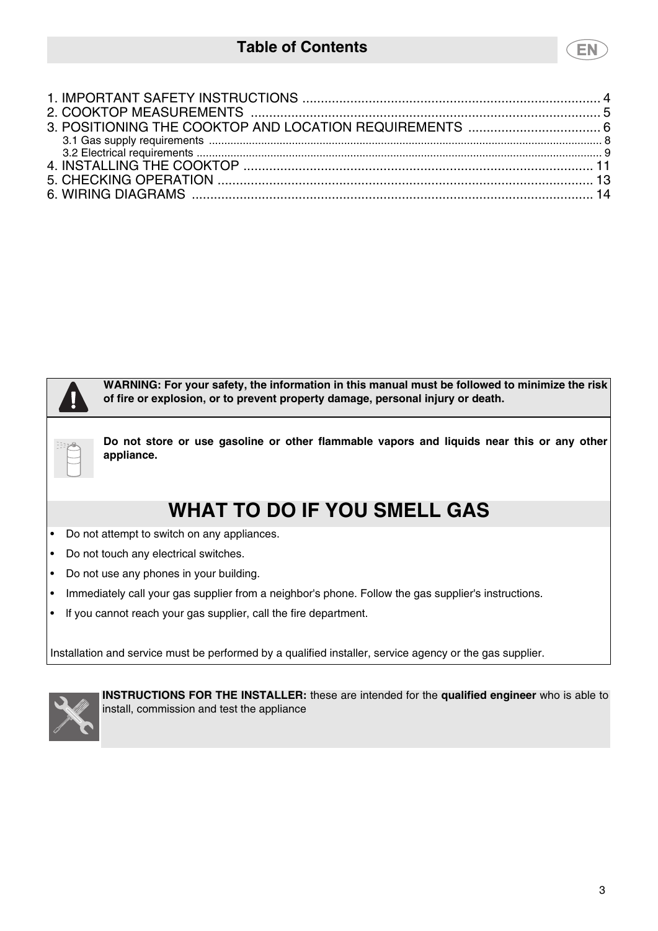# **Table of Contents**

**WARNING: For your safety, the information in this manual must be followed to minimize the risk of fire or explosion, or to prevent property damage, personal injury or death. Do not store or use gasoline or other flammable vapors and liquids near this or any other** Done B **appliance. WHAT TO DO IF YOU SMELL GAS**

- Do not attempt to switch on any appliances.
- Do not touch any electrical switches.
- Do not use any phones in your building.
- Immediately call your gas supplier from a neighbor's phone. Follow the gas supplier's instructions.
- lf you cannot reach your gas supplier, call the fire department.

Installation and service must be performed by a qualified installer, service agency or the gas supplier.



**INSTRUCTIONS FOR THE INSTALLER:** these are intended for the **qualified engineer** who is able to install, commission and test the appliance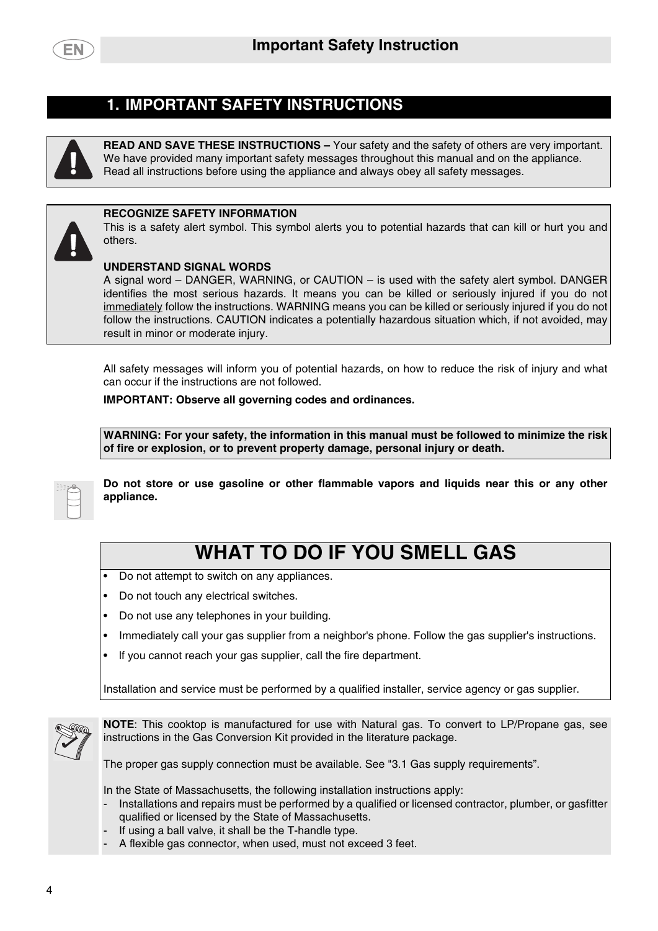

## **1. IMPORTANT SAFETY INSTRUCTIONS**

<span id="page-1-0"></span>

**READ AND SAVE THESE INSTRUCTIONS –** Your safety and the safety of others are very important. We have provided many important safety messages throughout this manual and on the appliance. Read all instructions before using the appliance and always obey all safety messages.



#### **RECOGNIZE SAFETY INFORMATION**

This is a safety alert symbol. This symbol alerts you to potential hazards that can kill or hurt you and others.

#### **UNDERSTAND SIGNAL WORDS**

A signal word – DANGER, WARNING, or CAUTION – is used with the safety alert symbol. DANGER identifies the most serious hazards. It means you can be killed or seriously injured if you do not immediately follow the instructions. WARNING means you can be killed or seriously injured if you do not follow the instructions. CAUTION indicates a potentially hazardous situation which, if not avoided, may result in minor or moderate injury.

All safety messages will inform you of potential hazards, on how to reduce the risk of injury and what can occur if the instructions are not followed.

#### **IMPORTANT: Observe all governing codes and ordinances.**

**WARNING: For your safety, the information in this manual must be followed to minimize the risk of fire or explosion, or to prevent property damage, personal injury or death.**

| ×<br>$\sim$<br>$\sim$<br>Ξ<br>۰ |  |  |
|---------------------------------|--|--|
|                                 |  |  |
|                                 |  |  |
|                                 |  |  |

**Do not store or use gasoline or other flammable vapors and liquids near this or any other appliance.**

# **WHAT TO DO IF YOU SMELL GAS**

- Do not attempt to switch on any appliances.
- Do not touch any electrical switches.
- Do not use any telephones in your building.
- Immediately call your gas supplier from a neighbor's phone. Follow the gas supplier's instructions.
- lf you cannot reach your gas supplier, call the fire department.

Installation and service must be performed by a qualified installer, service agency or gas supplier.



**NOTE**: This cooktop is manufactured for use with Natural gas. To convert to LP/Propane gas, see instructions in the Gas Conversion Kit provided in the literature package.

The proper gas supply connection must be available. See "[3.1 Gas supply requirements](#page-5-0)".

In the State of Massachusetts, the following installation instructions apply:

- Installations and repairs must be performed by a qualified or licensed contractor, plumber, or gasfitter qualified or licensed by the State of Massachusetts.
- If using a ball valve, it shall be the T-handle type.
- A flexible gas connector, when used, must not exceed 3 feet.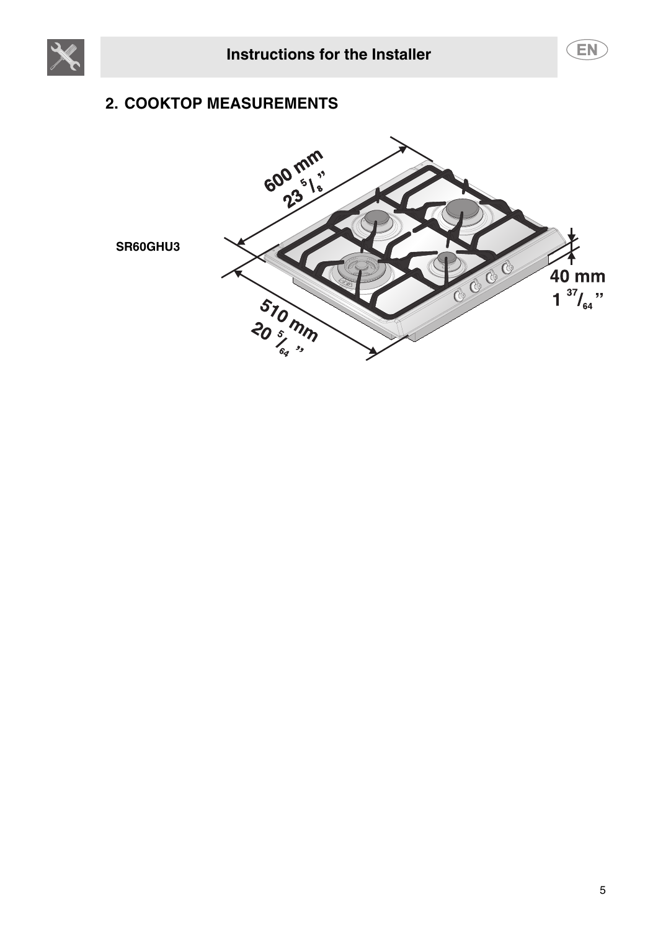<span id="page-2-0"></span>



# **2. COOKTOP MEASUREMENTS**



**SR60GHU3**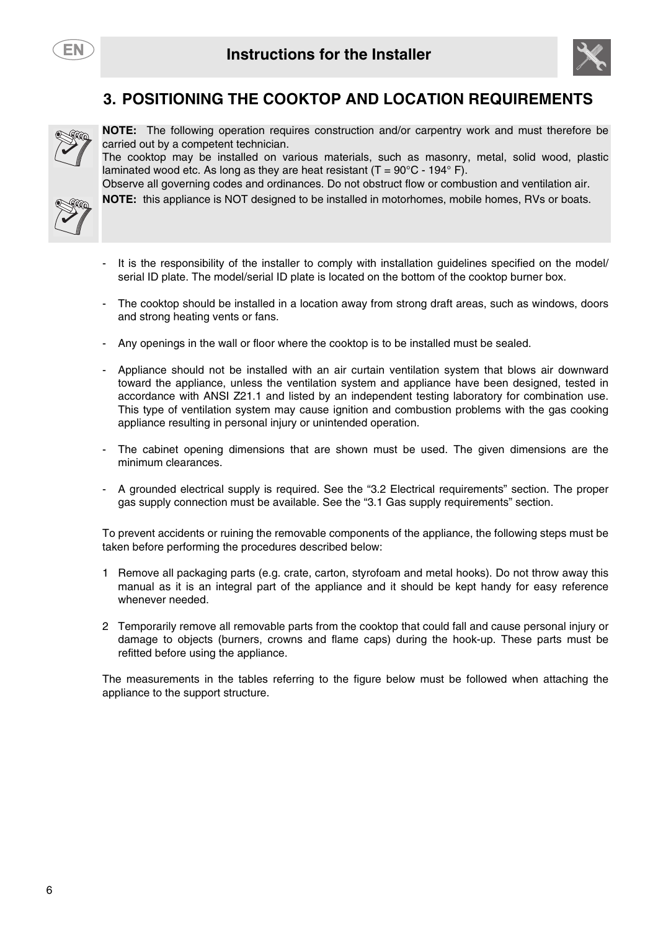



# **3. POSITIONING THE COOKTOP AND LOCATION REQUIREMENTS**

<span id="page-3-0"></span>

**NOTE:** The following operation requires construction and/or carpentry work and must therefore be carried out by a competent technician.

The cooktop may be installed on various materials, such as masonry, metal, solid wood, plastic laminated wood etc. As long as they are heat resistant  $(T = 90^{\circ}C - 194^{\circ} F)$ .



Observe all governing codes and ordinances. Do not obstruct flow or combustion and ventilation air. **NOTE:** this appliance is NOT designed to be installed in motorhomes, mobile homes, RVs or boats.

- It is the responsibility of the installer to comply with installation guidelines specified on the model/ serial ID plate. The model/serial ID plate is located on the bottom of the cooktop burner box.
- The cooktop should be installed in a location away from strong draft areas, such as windows, doors and strong heating vents or fans.
- Any openings in the wall or floor where the cooktop is to be installed must be sealed.
- Appliance should not be installed with an air curtain ventilation system that blows air downward toward the appliance, unless the ventilation system and appliance have been designed, tested in accordance with ANSI Z21.1 and listed by an independent testing laboratory for combination use. This type of ventilation system may cause ignition and combustion problems with the gas cooking appliance resulting in personal injury or unintended operation.
- The cabinet opening dimensions that are shown must be used. The given dimensions are the minimum clearances.
- A grounded electrical supply is required. See the ["3.2 Electrical requirements"](#page-6-0) section. The proper gas supply connection must be available. See the "[3.1 Gas supply requirements](#page-5-0)" section.

To prevent accidents or ruining the removable components of the appliance, the following steps must be taken before performing the procedures described below:

- 1 Remove all packaging parts (e.g. crate, carton, styrofoam and metal hooks). Do not throw away this manual as it is an integral part of the appliance and it should be kept handy for easy reference whenever needed.
- 2 Temporarily remove all removable parts from the cooktop that could fall and cause personal injury or damage to objects (burners, crowns and flame caps) during the hook-up. These parts must be refitted before using the appliance.

The measurements in the tables referring to the figure below must be followed when attaching the appliance to the support structure.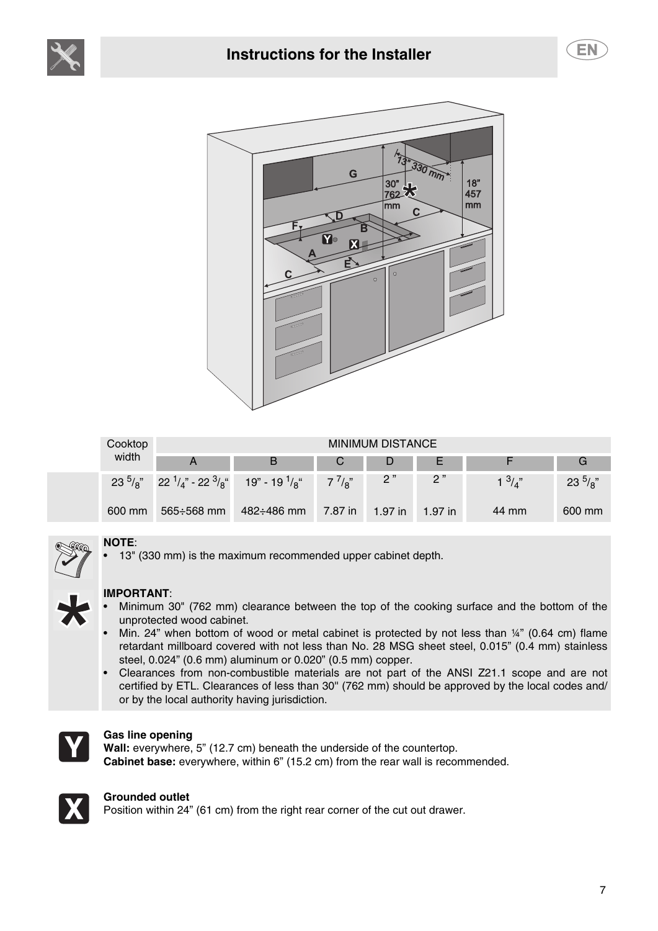





| Cooktop |                   |                                                                                    |         | <b>MINIMUM DISTANCE</b> |         |                 |              |
|---------|-------------------|------------------------------------------------------------------------------------|---------|-------------------------|---------|-----------------|--------------|
| width   |                   | B                                                                                  | Ü       | D                       | ᄇ       |                 | G            |
|         |                   | $23^{5}/a''$ $22^{1}/a''$ - $22^{3}/a''$ 19" - $19^{1}/a''$ 7 <sup>7</sup> / $a''$ |         | 2 <sup>n</sup>          | 2"      | $1 \frac{3}{4}$ | $23^{5}/a$ " |
| 600 mm  | $565 \div 568$ mm | $482 \div 486$ mm                                                                  | 7.87 in | 1.97 in                 | 1.97 in | 44 mm           | 600 mm       |



### **NOTE**:

• 13" (330 mm) is the maximum recommended upper cabinet depth.



### **IMPORTANT**:

- Minimum 30" (762 mm) clearance between the top of the cooking surface and the bottom of the unprotected wood cabinet.
- Min. 24" when bottom of wood or metal cabinet is protected by not less than ¼" (0.64 cm) flame retardant millboard covered with not less than No. 28 MSG sheet steel, 0.015" (0.4 mm) stainless steel, 0.024" (0.6 mm) aluminum or 0.020" (0.5 mm) copper.
- Clearances from non-combustible materials are not part of the ANSI Z21.1 scope and are not certified by ETL. Clearances of less than 30'' (762 mm) should be approved by the local codes and/ or by the local authority having jurisdiction.



#### **Gas line opening**

**Wall:** everywhere, 5" (12.7 cm) beneath the underside of the countertop. **Cabinet base:** everywhere, within 6" (15.2 cm) from the rear wall is recommended.



#### **Grounded outlet**

Position within 24" (61 cm) from the right rear corner of the cut out drawer.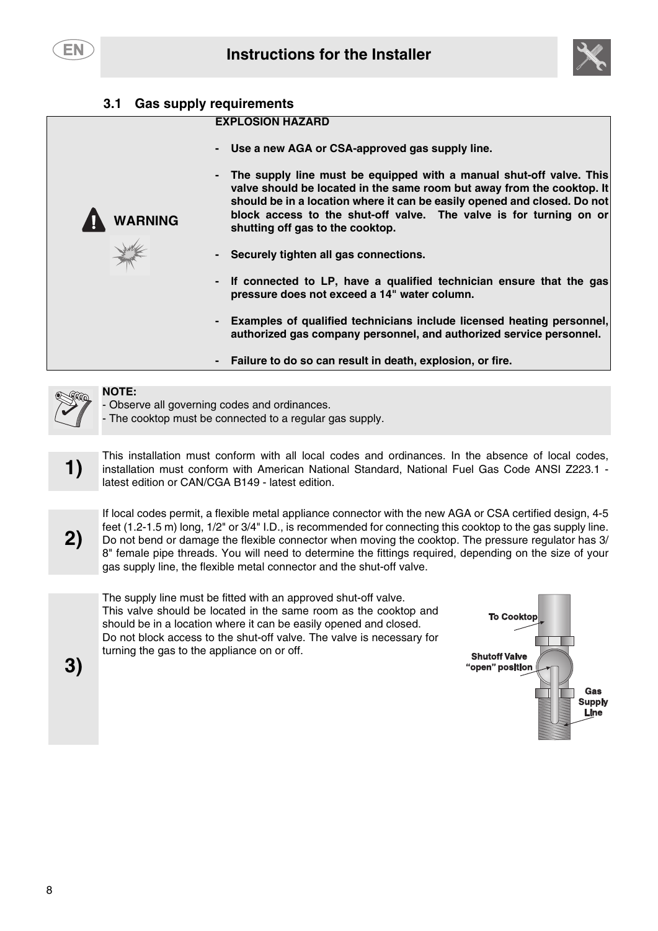EN



### <span id="page-5-0"></span>**3.1 Gas supply requirements**

#### **EXPLOSION HAZARD**

- Use a new AGA or CSA-approved gas supply line.
- **The supply line must be equipped with a manual shut-off valve. This valve should be located in the same room but away from the cooktop. It should be in a location where it can be easily opened and closed. Do not block access to the shut-off valve. The valve is for turning on or shutting off gas to the cooktop.**
- **Securely tighten all gas connections.**
- **lf connected to LP, have a qualified technician ensure that the gas pressure does not exceed a 14" water column.**
- **Examples of qualified technicians include licensed heating personnel, authorized gas company personnel, and authorized service personnel.**
- **Failure to do so can result in death, explosion, or fire.**



#### **NOTE:**

**WARNING**

Observe all governing codes and ordinances.

- The cooktop must be connected to a regular gas supply.

This installation must conform with all local codes and ordinances. In the absence of local codes,<br>installation must conform with American National Standard, National Fuel Gas Code ANSI Z223.1 latest edition or CAN/CGA B149 - latest edition.



If local codes permit, a flexible metal appliance connector with the new AGA or CSA certified design, 4-5 feet (1.2-1.5 m) long, 1/2" or 3/4" I.D., is recommended for connecting this cooktop to the gas supply line. Do not bend or damage the flexible connector when moving the cooktop. The pressure regulator has 3/ 8" female pipe threads. You will need to determine the fittings required, depending on the size of your gas supply line, the flexible metal connector and the shut-off valve.

The supply line must be fitted with an approved shut-off valve. This valve should be located in the same room as the cooktop and should be in a location where it can be easily opened and closed. Do not block access to the shut-off valve. The valve is necessary for turning the gas to the appliance on or off.



**3)**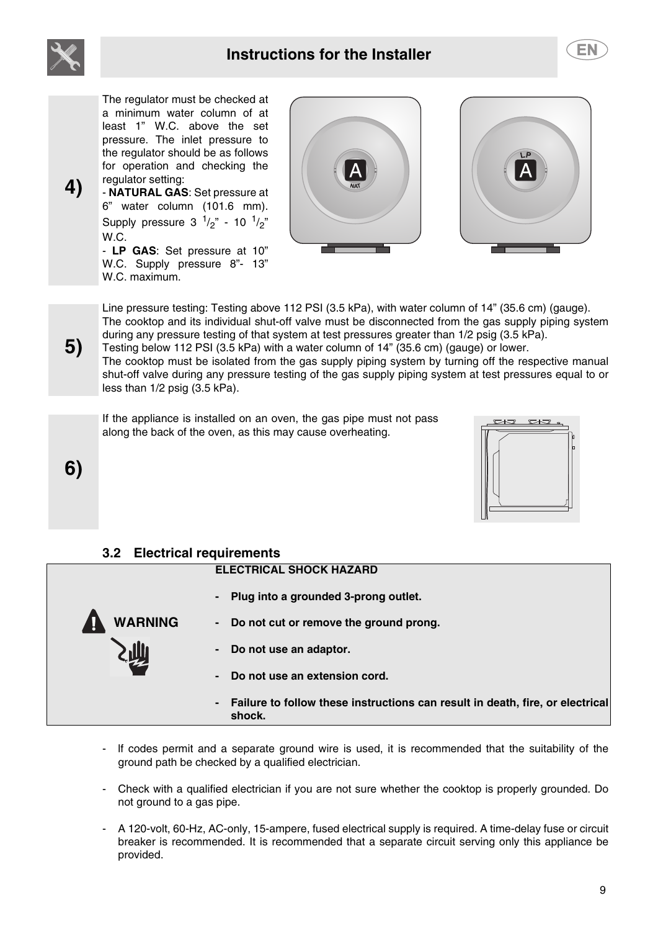





**4)**

The regulator must be checked at a minimum water column of at least 1" W.C. above the set pressure. The inlet pressure to the regulator should be as follows for operation and checking the regulator setting:

- **NATURAL GAS**: Set pressure at 6" water column (101.6 mm). Supply pressure  $3^{1/2}$ " - 10  $^{1/2}$ " W.C.

- **LP GAS**: Set pressure at 10" W.C. Supply pressure 8"- 13" W.C. maximum.



Line pressure testing: Testing above 112 PSI (3.5 kPa), with water column of 14" (35.6 cm) (gauge). The cooktop and its individual shut-off valve must be disconnected from the gas supply piping system during any pressure testing of that system at test pressures greater than 1/2 psig (3.5 kPa). Testing below 112 PSI (3.5 kPa) with a water column of 14" (35.6 cm) (gauge) or lower.

The cooktop must be isolated from the gas supply piping system by turning off the respective manual shut-off valve during any pressure testing of the gas supply piping system at test pressures equal to or less than 1/2 psig (3.5 kPa).

If the appliance is installed on an oven, the gas pipe must not pass along the back of the oven, as this may cause overheating.



### <span id="page-6-0"></span>**3.2 Electrical requirements**

**WARNING**

#### **ELECTRICAL SHOCK HAZARD**

- **Plug into a grounded 3-prong outlet.**
- **Do not cut or remove the ground prong.**
- **Do not use an adaptor.**
- **Do not use an extension cord.**
- **Failure to follow these instructions can result in death, fire, or electrical shock.**
- If codes permit and a separate ground wire is used, it is recommended that the suitability of the ground path be checked by a qualified electrician.
- Check with a qualified electrician if you are not sure whether the cooktop is properly grounded. Do not ground to a gas pipe.
- A 120-volt, 60-Hz, AC-only, 15-ampere, fused electrical supply is required. A time-delay fuse or circuit breaker is recommended. It is recommended that a separate circuit serving only this appliance be provided.

**5)**

**6)**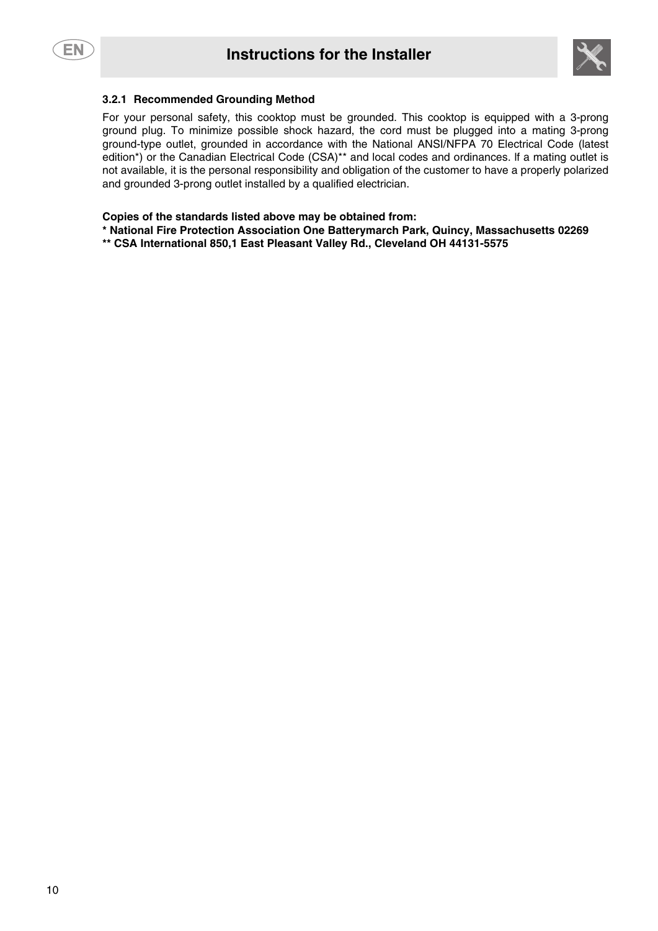

#### **3.2.1 Recommended Grounding Method**

For your personal safety, this cooktop must be grounded. This cooktop is equipped with a 3-prong ground plug. To minimize possible shock hazard, the cord must be plugged into a mating 3-prong ground-type outlet, grounded in accordance with the National ANSI/NFPA 70 Electrical Code (latest edition<sup>\*</sup>) or the Canadian Electrical Code (CSA)<sup>\*\*</sup> and local codes and ordinances. If a mating outlet is not available, it is the personal responsibility and obligation of the customer to have a properly polarized and grounded 3-prong outlet installed by a qualified electrician.

**Copies of the standards listed above may be obtained from:**

**\* National Fire Protection Association One Batterymarch Park, Quincy, Massachusetts 02269**

**\*\* CSA International 850,1 East Pleasant Valley Rd., Cleveland OH 44131-5575**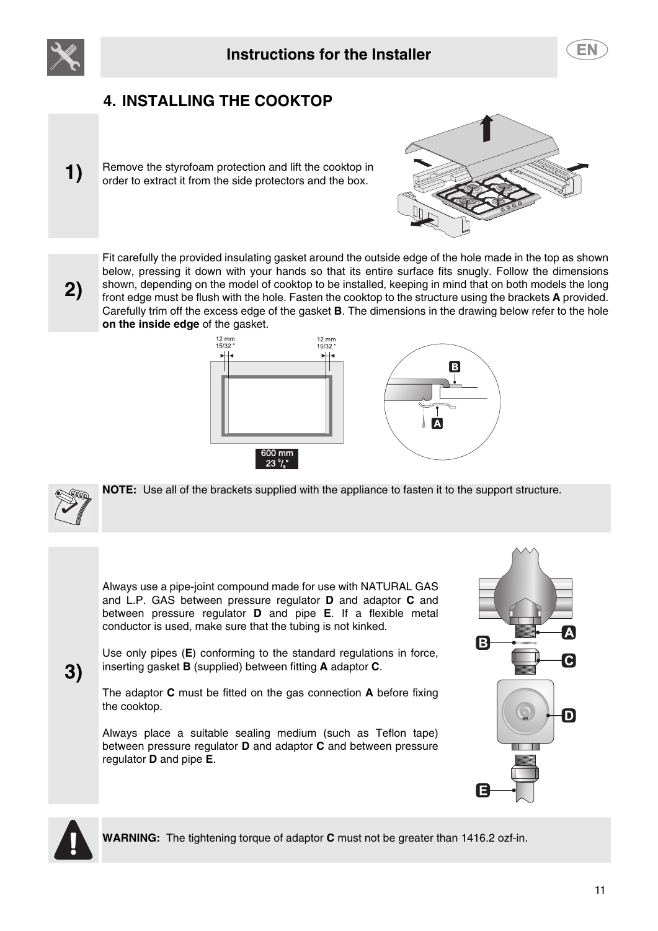<span id="page-8-0"></span>



# **4. INSTALLING THE COOKTOP**

**1)** Remove the styrofoam protection and lift the cooktop in order to extract it from the side protectors and the box.



**2)**

Fit carefully the provided insulating gasket around the outside edge of the hole made in the top as shown below, pressing it down with your hands so that its entire surface fits snugly. Follow the dimensions shown, depending on the model of cooktop to be installed, keeping in mind that on both models the long front edge must be flush with the hole. Fasten the cooktop to the structure using the brackets **A** provided. Carefully trim off the excess edge of the gasket **B**. The dimensions in the drawing below refer to the hole **on the inside edge** of the gasket.





**3)**

**NOTE:** Use all of the brackets supplied with the appliance to fasten it to the support structure.

Always use a pipe-joint compound made for use with NATURAL GAS and L.P. GAS between pressure regulator **D** and adaptor **C** and between pressure regulator **D** and pipe **E**. If a flexible metal conductor is used, make sure that the tubing is not kinked.

Use only pipes (**E**) conforming to the standard regulations in force, inserting gasket **B** (supplied) between fitting **A** adaptor **C**.

The adaptor **C** must be fitted on the gas connection **A** before fixing the cooktop.

Always place a suitable sealing medium (such as Teflon tape) between pressure regulator **D** and adaptor **C** and between pressure regulator **D** and pipe **E**.





**WARNING:** The tightening torque of adaptor **C** must not be greater than 1416.2 ozf-in.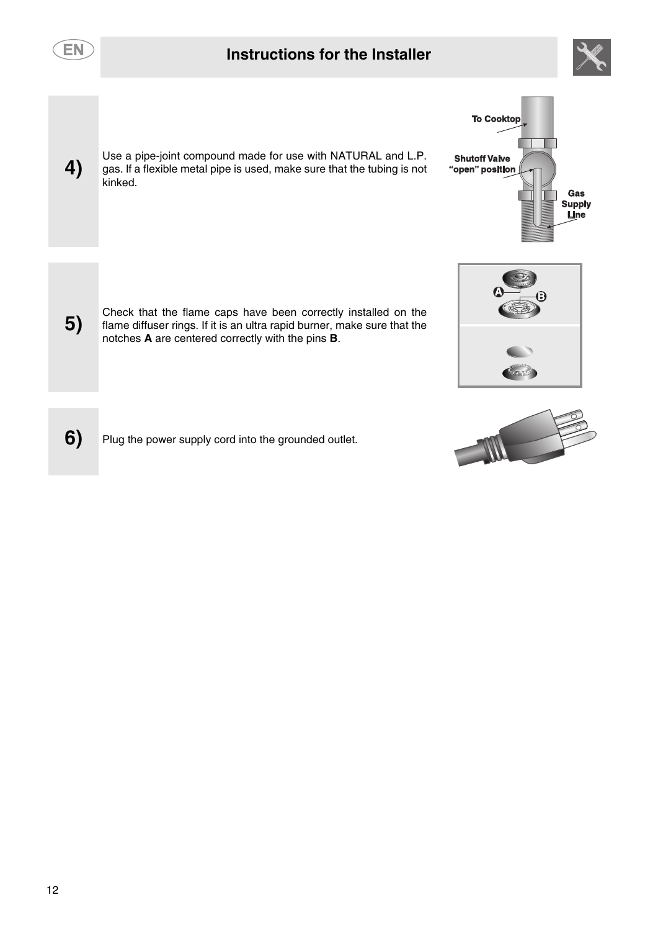| EN | <b>Instructions for the Installer</b>                                                                                                                                                           |                                                                                                     |
|----|-------------------------------------------------------------------------------------------------------------------------------------------------------------------------------------------------|-----------------------------------------------------------------------------------------------------|
| 4) | Use a pipe-joint compound made for use with NATURAL and L.P.<br>gas. If a flexible metal pipe is used, make sure that the tubing is not<br>kinked.                                              | <b>To Cooktop</b><br><b>Shutoff Valve</b><br>"open" position<br>Gas<br><b>Supply</b><br><b>Line</b> |
| 5) | Check that the flame caps have been correctly installed on the<br>flame diffuser rings. If it is an ultra rapid burner, make sure that the<br>notches A are centered correctly with the pins B. |                                                                                                     |
| 6) | Plug the power supply cord into the grounded outlet.                                                                                                                                            |                                                                                                     |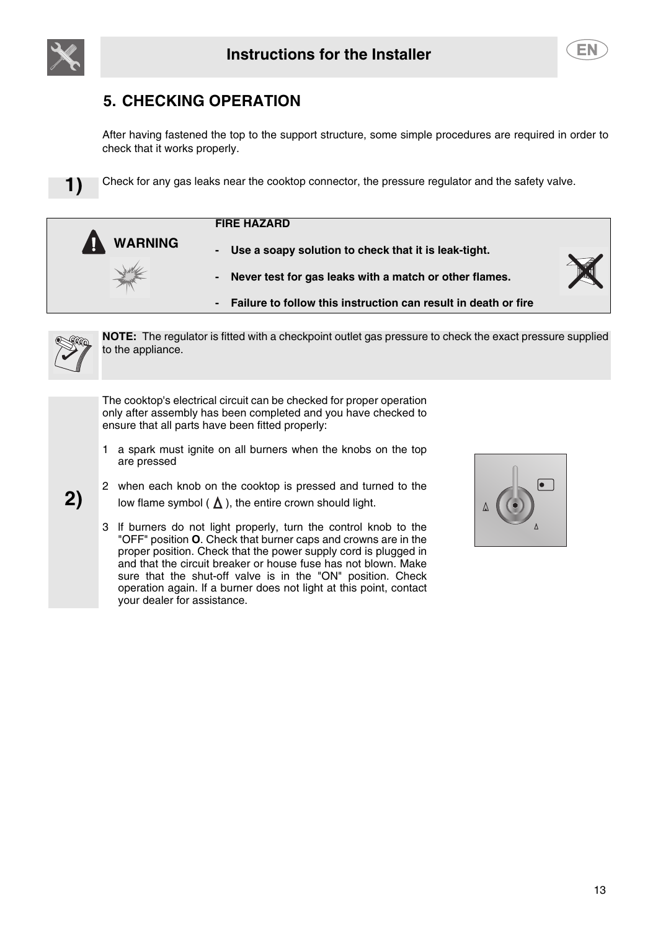<span id="page-10-0"></span>



# **5. CHECKING OPERATION**

After having fastened the top to the support structure, some simple procedures are required in order to check that it works properly.

**1)** Check for any gas leaks near the cooktop connector, the pressure regulator and the safety valve.

| <b>FIRE HAZARD</b> |
|--------------------|
|--------------------|

**WARNING** Use a soapy solution to check that it is leak-tight. **- Never test for gas leaks with a match or other flames.**



**- Failure to follow this instruction can result in death or fire**



**2)**

**NOTE:** The regulator is fitted with a checkpoint outlet gas pressure to check the exact pressure supplied to the appliance.

The cooktop's electrical circuit can be checked for proper operation only after assembly has been completed and you have checked to ensure that all parts have been fitted properly:

- 1 a spark must ignite on all burners when the knobs on the top are pressed
- 2 when each knob on the cooktop is pressed and turned to the low flame symbol ( $\Delta$ ), the entire crown should light.
- 3 lf burners do not light properly, turn the control knob to the "OFF" position **O**. Check that burner caps and crowns are in the proper position. Check that the power supply cord is plugged in and that the circuit breaker or house fuse has not blown. Make sure that the shut-off valve is in the "ON" position. Check operation again. lf a burner does not light at this point, contact your dealer for assistance.